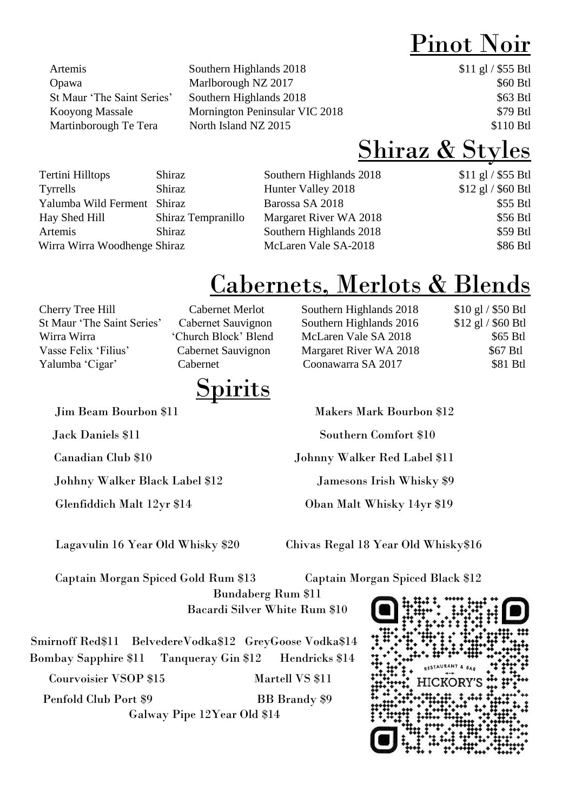## Pinot Noir

Artemis Southern Highlands 2018 \$11 gl / \$55 Btl Opawa Marlborough NZ 2017 \$60 Btl St Maur 'The Saint Series' Southern Highlands 2018 \$63 Btl Kooyong Massale Mornington Peninsular VIC 2018 \$79 Btl Martinborough Te Tera North Island NZ 2015 \$110 Btl

### Shiraz & Styles

| Tertini Hilltops             | Shiraz             | Southern Highlands 2018 | $$11$ gl / \$55 Btl |
|------------------------------|--------------------|-------------------------|---------------------|
| Tyrrells                     | Shiraz             | Hunter Valley 2018      | \$12 gl / \$60 Btl  |
| Yalumba Wild Ferment Shiraz  |                    | Barossa SA 2018         | \$55 Btl            |
| Hay Shed Hill                | Shiraz Tempranillo | Margaret River WA 2018  | \$56 Btl            |
| Artemis                      | Shiraz             | Southern Highlands 2018 | \$59 Btl            |
| Wirra Wirra Woodhenge Shiraz |                    | McLaren Vale SA-2018    | \$86 Btl            |
|                              |                    |                         |                     |

## Cabernets, Merlots & Blends

Yalumba 'Cigar' Cabernet Coonawarra SA 2017

**Spirits** 

Johhny Walker Black Label \$12 Jamesons Irish Whisky \$9

Cherry Tree Hill Cabernet Merlot Southern Highlands 2018 \$10 gl / \$50 Btl St Maur 'The Saint Series' Cabernet Sauvignon Southern Highlands 2016 \$12 gl / \$60 Btl Wirra Wirra 'Church Block' Blend McLaren Vale SA 2018 \$65 Btl Vasse Felix 'Filius' Cabernet Sauvignon Margaret River WA 2018 \$67 Btl \$81 Btl

Jim Beam Bourbon \$11 Makers Mark Bourbon \$12 Jack Daniels \$11 Southern Comfort \$10 Canadian Club \$10 Johnny Walker Red Label \$11

Glenfiddich Malt 12yr \$14 Oban Malt Whisky 14yr \$19

Lagavulin 16 Year Old Whisky \$20 Chivas Regal 18 Year Old Whisky\$16

 Captain Morgan Spiced Gold Rum \$13 Captain Morgan Spiced Black \$12 Bundaberg Rum \$11 Bacardi Silver White Rum \$10

 Smirnoff Red\$11 BelvedereVodka\$12 GreyGoose Vodka\$14 Bombay Sapphire \$11 Tanqueray Gin \$12 Hendricks \$14 Courvoisier VSOP \$15 Martell VS \$11 Penfold Club Port \$9 BB Brandy \$9 Galway Pipe 12Year Old \$14